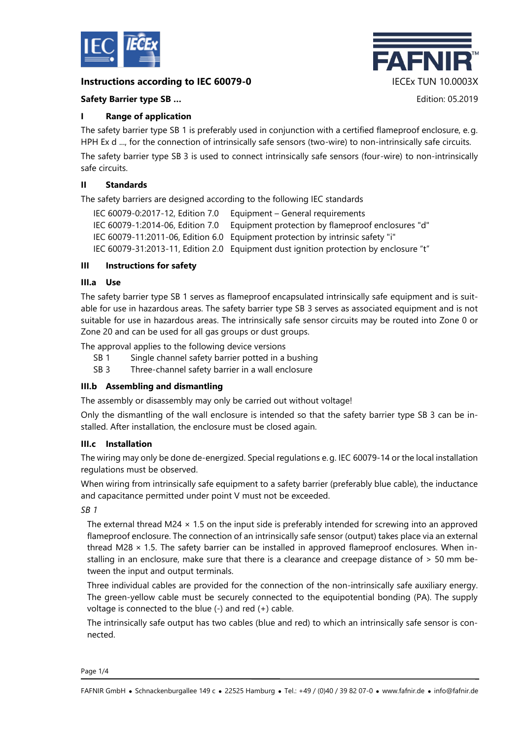

# **Instructions according to IEC 60079-0** IECEx TUN 10.0003X



### **Safety Barrier type SB …** Edition: 05.2019

### **I Range of application**

The safety barrier type SB 1 is preferably used in conjunction with a certified flameproof enclosure, e.g. HPH Ex d ..., for the connection of intrinsically safe sensors (two-wire) to non-intrinsically safe circuits. The safety barrier type SB 3 is used to connect intrinsically safe sensors (four-wire) to non-intrinsically safe circuits.

## **II Standards**

The safety barriers are designed according to the following IEC standards

| IEC 60079-0:2017-12, Edition 7.0 | Equipment – General requirements                                                      |
|----------------------------------|---------------------------------------------------------------------------------------|
| IEC 60079-1:2014-06, Edition 7.0 | Equipment protection by flameproof enclosures "d"                                     |
|                                  | IEC 60079-11:2011-06, Edition 6.0 Equipment protection by intrinsic safety "i"        |
|                                  | IEC 60079-31:2013-11, Edition 2.0 Equipment dust ignition protection by enclosure "t" |

## **III Instructions for safety**

### **III.a Use**

The safety barrier type SB 1 serves as flameproof encapsulated intrinsically safe equipment and is suitable for use in hazardous areas. The safety barrier type SB 3 serves as associated equipment and is not suitable for use in hazardous areas. The intrinsically safe sensor circuits may be routed into Zone 0 or Zone 20 and can be used for all gas groups or dust groups.

The approval applies to the following device versions

- SB 1 Single channel safety barrier potted in a bushing
- SB 3 Three-channel safety barrier in a wall enclosure

# **III.b Assembling and dismantling**

The assembly or disassembly may only be carried out without voltage!

Only the dismantling of the wall enclosure is intended so that the safety barrier type SB 3 can be installed. After installation, the enclosure must be closed again.

### **III.c Installation**

The wiring may only be done de-energized. Special regulations e. g. IEC 60079-14 or the local installation regulations must be observed.

When wiring from intrinsically safe equipment to a safety barrier (preferably blue cable), the inductance and capacitance permitted under point V must not be exceeded.

*SB 1*

The external thread M24  $\times$  1.5 on the input side is preferably intended for screwing into an approved flameproof enclosure. The connection of an intrinsically safe sensor (output) takes place via an external thread M28  $\times$  1.5. The safety barrier can be installed in approved flameproof enclosures. When installing in an enclosure, make sure that there is a clearance and creepage distance of > 50 mm between the input and output terminals.

Three individual cables are provided for the connection of the non-intrinsically safe auxiliary energy. The green-yellow cable must be securely connected to the equipotential bonding (PA). The supply voltage is connected to the blue (-) and red (+) cable.

The intrinsically safe output has two cables (blue and red) to which an intrinsically safe sensor is connected.

Page 1/4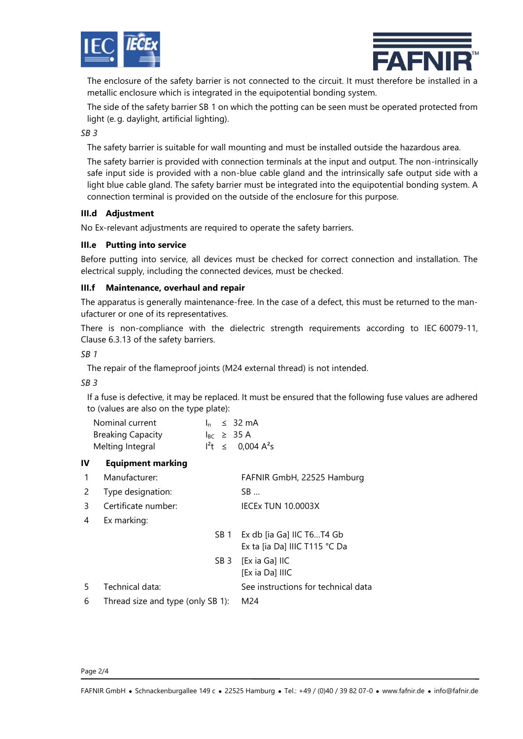



The enclosure of the safety barrier is not connected to the circuit. It must therefore be installed in a metallic enclosure which is integrated in the equipotential bonding system.

The side of the safety barrier SB 1 on which the potting can be seen must be operated protected from light (e. g. daylight, artificial lighting).

### *SB 3*

The safety barrier is suitable for wall mounting and must be installed outside the hazardous area.

The safety barrier is provided with connection terminals at the input and output. The non-intrinsically safe input side is provided with a non-blue cable gland and the intrinsically safe output side with a light blue cable gland. The safety barrier must be integrated into the equipotential bonding system. A connection terminal is provided on the outside of the enclosure for this purpose.

#### **III.d Adjustment**

No Ex-relevant adjustments are required to operate the safety barriers.

### **III.e Putting into service**

Before putting into service, all devices must be checked for correct connection and installation. The electrical supply, including the connected devices, must be checked.

#### **III.f Maintenance, overhaul and repair**

The apparatus is generally maintenance-free. In the case of a defect, this must be returned to the manufacturer or one of its representatives.

There is non-compliance with the dielectric strength requirements according to IEC 60079-11, Clause 6.3.13 of the safety barriers.

*SB 1*

The repair of the flameproof joints (M24 external thread) is not intended.

#### *SB 3*

If a fuse is defective, it may be replaced. It must be ensured that the following fuse values are adhered to (values are also on the type plate):

| Nominal current          |  | $\ln$ $\leq$ 32 mA     |
|--------------------------|--|------------------------|
| <b>Breaking Capacity</b> |  | $I_{BC} \geq 35$ A     |
| Melting Integral         |  | $I^2t \leq 0,004 A^2s$ |

### **IV Equipment marking**

- 1 Manufacturer: FAFNIR GmbH, 22525 Hamburg
- 2 Type designation: SB …
- 3 Certificate number: IECEx TUN 10.0003X
- 4 Ex marking:
- SB 1 Ex db [ia Ga] IIC T6...T4 Gb Ex ta [ia Da] IIIC T115 °C Da SB 3 [Ex ia Ga] IIC
	- [Ex ia Da] IIIC
- 5 Technical data: See instructions for technical data
- 6 Thread size and type (only SB 1): M24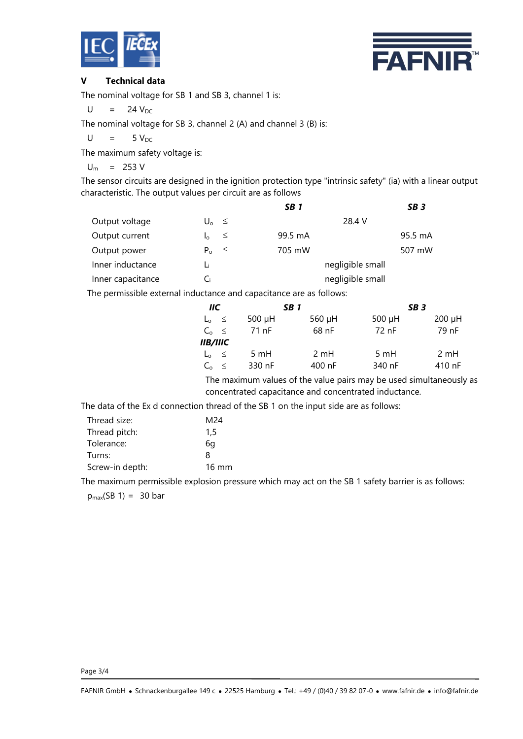



## **V Technical data**

The nominal voltage for SB 1 and SB 3, channel 1 is:

 $U = 24 V_{DC}$ 

The nominal voltage for SB 3, channel 2 (A) and channel 3 (B) is:

 $U = 5 V_{DC}$ 

The maximum safety voltage is:

 $U_m$  = 253 V

The sensor circuits are designed in the ignition protection type "intrinsic safety" (ia) with a linear output characteristic. The output values per circuit are as follows

|                   |                        | SB <sub>1</sub>  | SB <sub>3</sub> |
|-------------------|------------------------|------------------|-----------------|
| Output voltage    | $U_0 \leq$             | 28.4 V           |                 |
| Output current    | $\leq$<br>$I_{\Omega}$ | 99.5 mA          | 95.5 mA         |
| Output power      | $P_0 \leq$             | 705 mW           | 507 mW          |
| Inner inductance  | Li                     | negligible small |                 |
| Inner capacitance | Сi                     | negligible small |                 |

The permissible external inductance and capacitance are as follows:

| IIC             | SB <sub>1</sub> |        | SB <sub>3</sub> |             |
|-----------------|-----------------|--------|-----------------|-------------|
| $L_0 \leq$      | 500 µH          | 560 µH | 500 $\mu$ H     | $200 \mu H$ |
| $C_0 \leq$      | 71 nF           | 68 nF  | 72 nF           | 79 nF       |
| <i>IIB/IIIC</i> |                 |        |                 |             |
| $L_0 \leq$      | 5 mH            | 2 mH   | 5 mH            | 2 mH        |
| $C_0 \leq$      | 330 nF          | 400 nF | 340 nF          | 410 nF      |

The maximum values of the value pairs may be used simultaneously as concentrated capacitance and concentrated inductance.

The data of the Ex d connection thread of the SB 1 on the input side are as follows:

| Thread size:    | M24             |
|-----------------|-----------------|
| Thread pitch:   | 1.5             |
| Tolerance:      | 6a              |
| Turns:          | 8               |
| Screw-in depth: | $16 \text{ mm}$ |

The maximum permissible explosion pressure which may act on the SB 1 safety barrier is as follows:  $p_{max}(SB 1) = 30 bar$